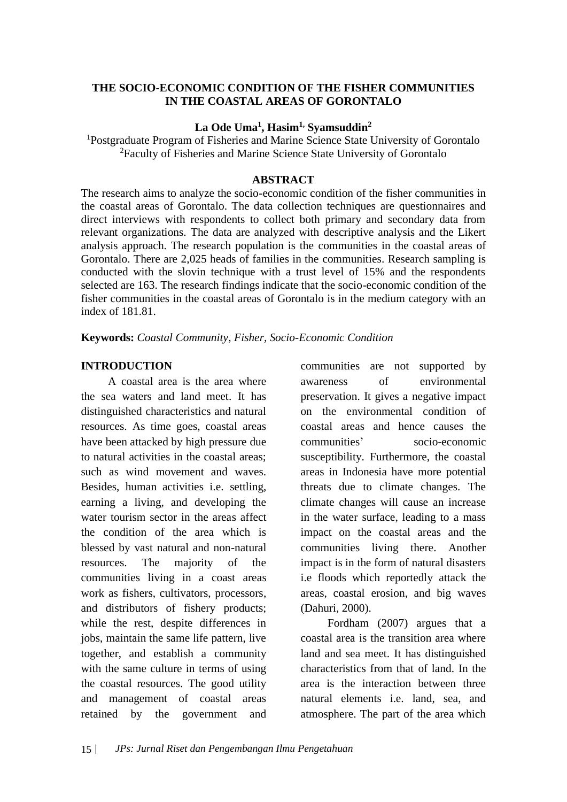#### **THE SOCIO-ECONOMIC CONDITION OF THE FISHER COMMUNITIES IN THE COASTAL AREAS OF GORONTALO**

### **La Ode Uma<sup>1</sup> , Hasim1, Syamsuddin<sup>2</sup>**

<sup>1</sup>Postgraduate Program of Fisheries and Marine Science State University of Gorontalo <sup>2</sup>Faculty of Fisheries and Marine Science State University of Gorontalo

#### **ABSTRACT**

The research aims to analyze the socio-economic condition of the fisher communities in the coastal areas of Gorontalo. The data collection techniques are questionnaires and direct interviews with respondents to collect both primary and secondary data from relevant organizations. The data are analyzed with descriptive analysis and the Likert analysis approach. The research population is the communities in the coastal areas of Gorontalo. There are 2,025 heads of families in the communities. Research sampling is conducted with the slovin technique with a trust level of 15% and the respondents selected are 163. The research findings indicate that the socio-economic condition of the fisher communities in the coastal areas of Gorontalo is in the medium category with an index of 181.81.

**Keywords:** *Coastal Community, Fisher, Socio-Economic Condition*

#### **INTRODUCTION**

A coastal area is the area where the sea waters and land meet. It has distinguished characteristics and natural resources. As time goes, coastal areas have been attacked by high pressure due to natural activities in the coastal areas; such as wind movement and waves. Besides, human activities i.e. settling, earning a living, and developing the water tourism sector in the areas affect the condition of the area which is blessed by vast natural and non-natural resources. The majority of the communities living in a coast areas work as fishers, cultivators, processors, and distributors of fishery products; while the rest, despite differences in jobs, maintain the same life pattern, live together, and establish a community with the same culture in terms of using the coastal resources. The good utility and management of coastal areas retained by the government and

communities are not supported by awareness of environmental preservation. It gives a negative impact on the environmental condition of coastal areas and hence causes the communities' socio-economic susceptibility. Furthermore, the coastal areas in Indonesia have more potential threats due to climate changes. The climate changes will cause an increase in the water surface, leading to a mass impact on the coastal areas and the communities living there. Another impact is in the form of natural disasters i.e floods which reportedly attack the areas, coastal erosion, and big waves (Dahuri, 2000).

Fordham (2007) argues that a coastal area is the transition area where land and sea meet. It has distinguished characteristics from that of land. In the area is the interaction between three natural elements i.e. land, sea, and atmosphere. The part of the area which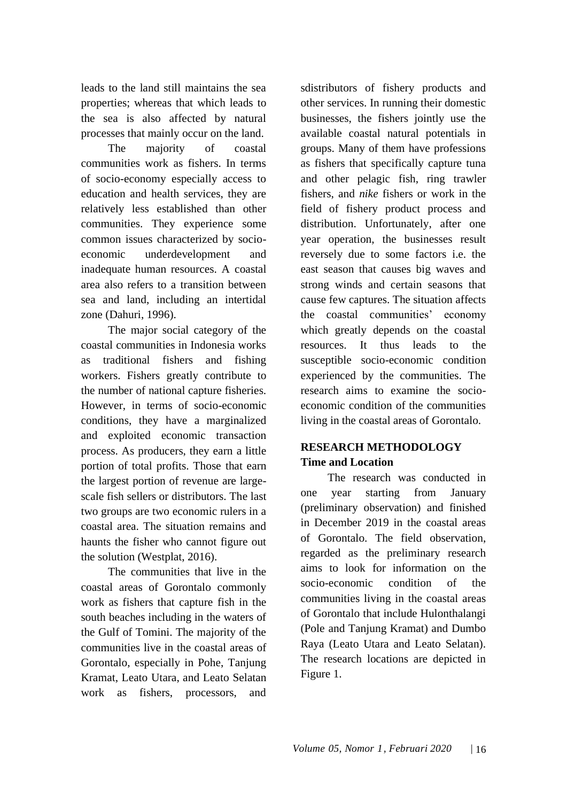leads to the land still maintains the sea properties; whereas that which leads to the sea is also affected by natural processes that mainly occur on the land.

The majority of coastal communities work as fishers. In terms of socio-economy especially access to education and health services, they are relatively less established than other communities. They experience some common issues characterized by socioeconomic underdevelopment and inadequate human resources. A coastal area also refers to a transition between sea and land, including an intertidal zone (Dahuri, 1996).

The major social category of the coastal communities in Indonesia works as traditional fishers and fishing workers. Fishers greatly contribute to the number of national capture fisheries. However, in terms of socio-economic conditions, they have a marginalized and exploited economic transaction process. As producers, they earn a little portion of total profits. Those that earn the largest portion of revenue are largescale fish sellers or distributors. The last two groups are two economic rulers in a coastal area. The situation remains and haunts the fisher who cannot figure out the solution (Westplat, 2016).

The communities that live in the coastal areas of Gorontalo commonly work as fishers that capture fish in the south beaches including in the waters of the Gulf of Tomini. The majority of the communities live in the coastal areas of Gorontalo, especially in Pohe, Tanjung Kramat, Leato Utara, and Leato Selatan work as fishers, processors, and

sdistributors of fishery products and other services. In running their domestic businesses, the fishers jointly use the available coastal natural potentials in groups. Many of them have professions as fishers that specifically capture tuna and other pelagic fish, ring trawler fishers, and *nike* fishers or work in the field of fishery product process and distribution. Unfortunately, after one year operation, the businesses result reversely due to some factors i.e. the east season that causes big waves and strong winds and certain seasons that cause few captures. The situation affects the coastal communities' economy which greatly depends on the coastal resources. It thus leads to the susceptible socio-economic condition experienced by the communities. The research aims to examine the socioeconomic condition of the communities living in the coastal areas of Gorontalo.

# **RESEARCH METHODOLOGY Time and Location**

The research was conducted in one year starting from January (preliminary observation) and finished in December 2019 in the coastal areas of Gorontalo. The field observation, regarded as the preliminary research aims to look for information on the socio-economic condition of the communities living in the coastal areas of Gorontalo that include Hulonthalangi (Pole and Tanjung Kramat) and Dumbo Raya (Leato Utara and Leato Selatan). The research locations are depicted in Figure 1.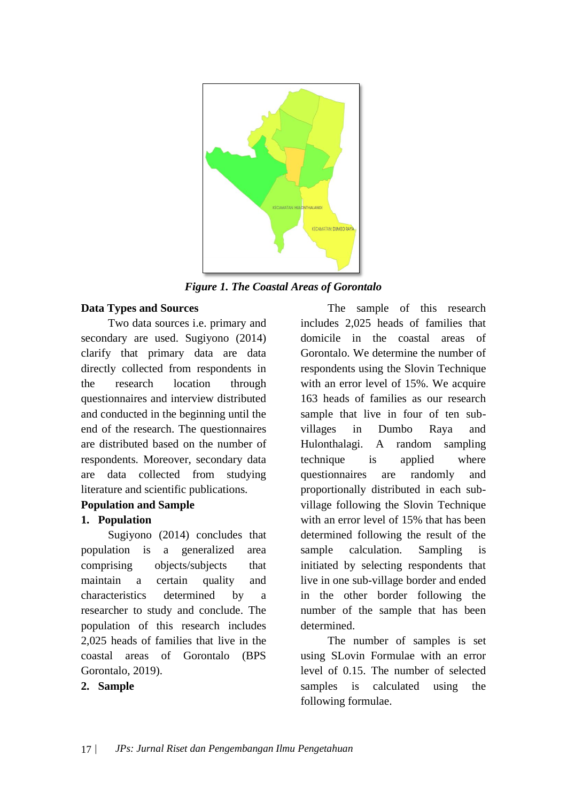

*Figure 1. The Coastal Areas of Gorontalo*

#### **Data Types and Sources**

Two data sources i.e. primary and secondary are used. Sugiyono (2014) clarify that primary data are data directly collected from respondents in the research location through questionnaires and interview distributed and conducted in the beginning until the end of the research. The questionnaires are distributed based on the number of respondents. Moreover, secondary data are data collected from studying literature and scientific publications.

### **Population and Sample**

### **1. Population**

Sugiyono (2014) concludes that population is a generalized area comprising objects/subjects that maintain a certain quality and characteristics determined by a researcher to study and conclude. The population of this research includes 2,025 heads of families that live in the coastal areas of Gorontalo (BPS Gorontalo, 2019).

### **2. Sample**

The sample of this research includes 2,025 heads of families that domicile in the coastal areas of Gorontalo. We determine the number of respondents using the Slovin Technique with an error level of 15%. We acquire 163 heads of families as our research sample that live in four of ten subvillages in Dumbo Raya and Hulonthalagi. A random sampling technique is applied where questionnaires are randomly and proportionally distributed in each subvillage following the Slovin Technique with an error level of 15% that has been determined following the result of the sample calculation. Sampling is initiated by selecting respondents that live in one sub-village border and ended in the other border following the number of the sample that has been determined.

The number of samples is set using SLovin Formulae with an error level of 0.15. The number of selected samples is calculated using the following formulae.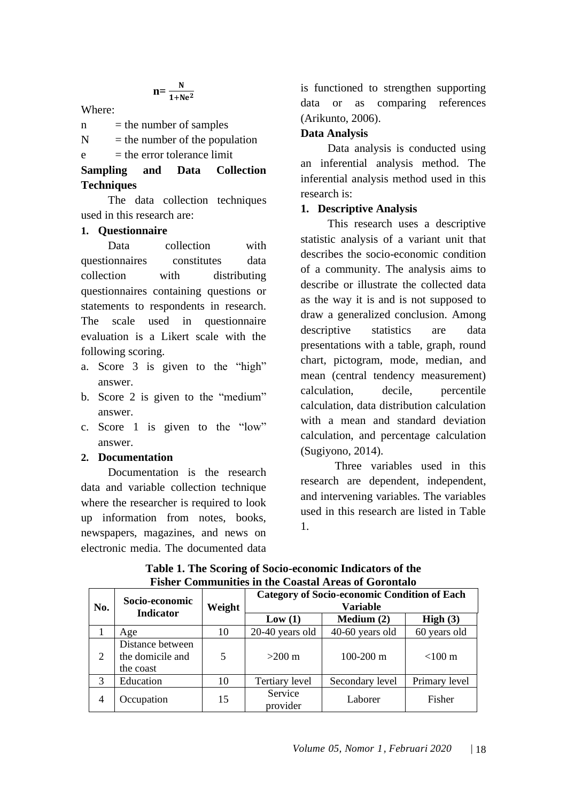$$
n = \frac{N}{1 + Ne^2}
$$

Where:

 $n =$  the number of samples

 $N =$  the number of the population

 $e =$  the error tolerance limit

# **Sampling and Data Collection Techniques**

The data collection techniques used in this research are:

### **1. Questionnaire**

Data collection with questionnaires constitutes data collection with distributing questionnaires containing questions or statements to respondents in research. The scale used in questionnaire evaluation is a Likert scale with the following scoring.

- a. Score 3 is given to the "high" answer.
- b. Score 2 is given to the "medium" answer.
- c. Score 1 is given to the "low" answer.

### **2. Documentation**

Documentation is the research data and variable collection technique where the researcher is required to look up information from notes, books, newspapers, magazines, and news on electronic media. The documented data is functioned to strengthen supporting data or as comparing references (Arikunto, 2006).

### **Data Analysis**

Data analysis is conducted using an inferential analysis method. The inferential analysis method used in this research is:

### **1. Descriptive Analysis**

This research uses a descriptive statistic analysis of a variant unit that describes the socio-economic condition of a community. The analysis aims to describe or illustrate the collected data as the way it is and is not supposed to draw a generalized conclusion. Among descriptive statistics are data presentations with a table, graph, round chart, pictogram, mode, median, and mean (central tendency measurement) calculation, decile, percentile calculation, data distribution calculation with a mean and standard deviation calculation, and percentage calculation (Sugiyono, 2014).

Three variables used in this research are dependent, independent, and intervening variables. The variables used in this research are listed in Table 1.

| No.            | Socio-economic<br><b>Indicator</b>                | Weight | <b>Category of Socio-economic Condition of Each</b><br>Variable                                                                             |                 |               |
|----------------|---------------------------------------------------|--------|---------------------------------------------------------------------------------------------------------------------------------------------|-----------------|---------------|
|                |                                                   |        | Medium $(2)$<br>Low(1)<br>$20-40$ years old<br>40-60 years old<br>$100 - 200$ m<br>$>200 \text{ m}$<br>Tertiary level<br>Service<br>Laborer | High $(3)$      |               |
|                | Age                                               | 10     |                                                                                                                                             |                 | 60 years old  |
| 2              | Distance between<br>the domicile and<br>the coast | 5      |                                                                                                                                             |                 | $<$ 100 m     |
| 3              | Education                                         | 10     |                                                                                                                                             | Secondary level | Primary level |
| $\overline{4}$ | Occupation                                        | 15     | provider                                                                                                                                    |                 | Fisher        |

**Table 1. The Scoring of Socio-economic Indicators of the Fisher Communities in the Coastal Areas of Gorontalo**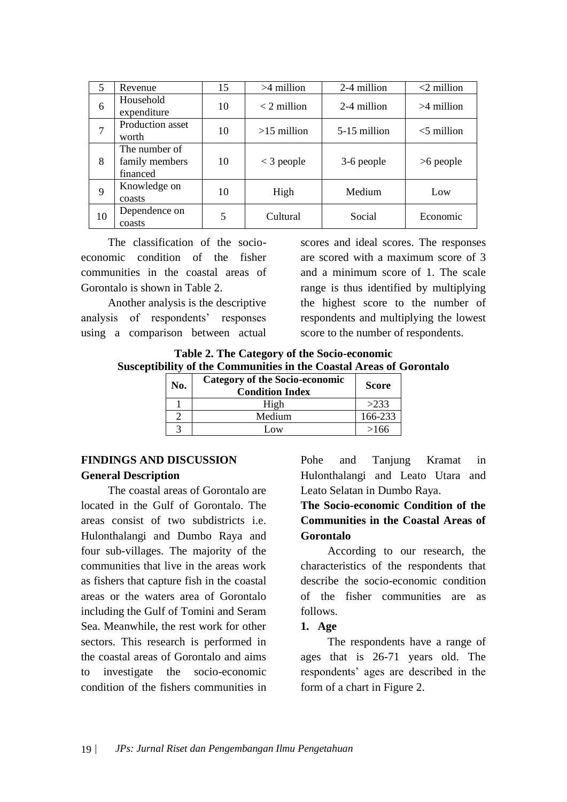| 5  | Revenue                                     | 15 | $>4$ million  | 2-4 million  | $<$ 2 million |
|----|---------------------------------------------|----|---------------|--------------|---------------|
| 6  | Household<br>expenditure                    | 10 | $<$ 2 million | 2-4 million  | $>4$ million  |
| 7  | Production asset<br>worth                   | 10 | $>15$ million | 5-15 million | $<$ 5 million |
| 8  | The number of<br>family members<br>financed | 10 | $<$ 3 people  | 3-6 people   | $>6$ people   |
| 9  | Knowledge on<br>coasts                      | 10 | High          | Medium       | Low           |
| 10 | Dependence on<br>coasts                     | 5  | Cultural      | Social       | Economic      |

The classification of the socioeconomic condition of the fisher communities in the coastal areas of Gorontalo is shown in Table 2.

Another analysis is the descriptive analysis of respondents' responses using a comparison between actual scores and ideal scores. The responses are scored with a maximum score of 3 and a minimum score of 1. The scale range is thus identified by multiplying the highest score to the number of respondents and multiplying the lowest score to the number of respondents.

**Table 2. The Category of the Socio-economic Susceptibility of the Communities in the Coastal Areas of Gorontalo**

| No. | <b>Category of the Socio-economic</b><br><b>Condition Index</b> | <b>Score</b> |
|-----|-----------------------------------------------------------------|--------------|
|     | High                                                            | >233         |
|     | Medium                                                          | 166-233      |
|     | Low                                                             | >166         |

### **FINDINGS AND DISCUSSION General Description**

The coastal areas of Gorontalo are located in the Gulf of Gorontalo. The areas consist of two subdistricts i.e. Hulonthalangi and Dumbo Raya and four sub-villages. The majority of the communities that live in the areas work as fishers that capture fish in the coastal areas or the waters area of Gorontalo including the Gulf of Tomini and Seram Sea. Meanwhile, the rest work for other sectors. This research is performed in the coastal areas of Gorontalo and aims to investigate the socio-economic condition of the fishers communities in Pohe and Tanjung Kramat in Hulonthalangi and Leato Utara and Leato Selatan in Dumbo Raya.

# **The Socio-economic Condition of the Communities in the Coastal Areas of Gorontalo**

According to our research, the characteristics of the respondents that describe the socio-economic condition of the fisher communities are as follows.

### **1. Age**

The respondents have a range of ages that is 26-71 years old. The respondents' ages are described in the form of a chart in Figure 2.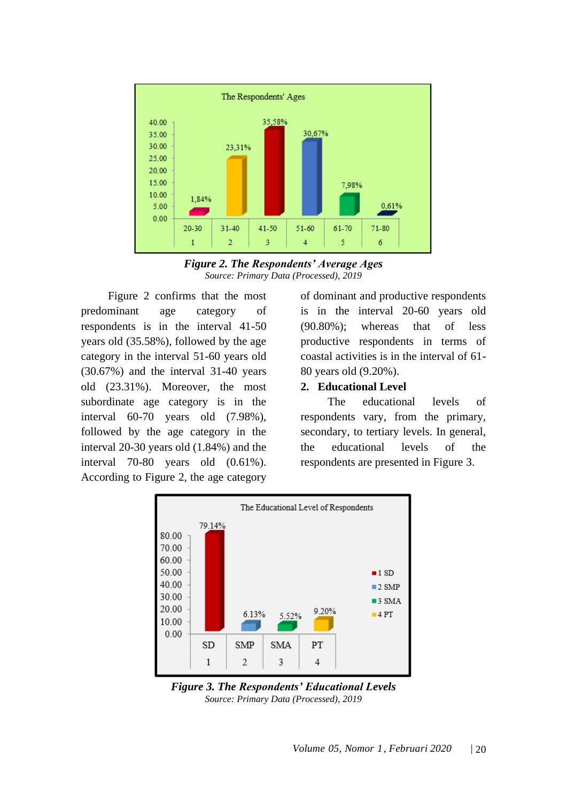

*Figure 2. The Respondents' Average Ages Source: Primary Data (Processed), 2019*

Figure 2 confirms that the most predominant age category of respondents is in the interval 41-50 years old (35.58%), followed by the age category in the interval 51-60 years old (30.67%) and the interval 31-40 years old (23.31%). Moreover, the most subordinate age category is in the interval 60-70 years old (7.98%), followed by the age category in the interval 20-30 years old (1.84%) and the interval 70-80 years old (0.61%). According to Figure 2, the age category of dominant and productive respondents is in the interval 20-60 years old (90.80%); whereas that of less productive respondents in terms of coastal activities is in the interval of 61- 80 years old (9.20%).

#### **2. Educational Level**

The educational levels of respondents vary, from the primary, secondary, to tertiary levels. In general, the educational levels of the respondents are presented in Figure 3.



*Figure 3. The Respondents' Educational Levels Source: Primary Data (Processed), 2019*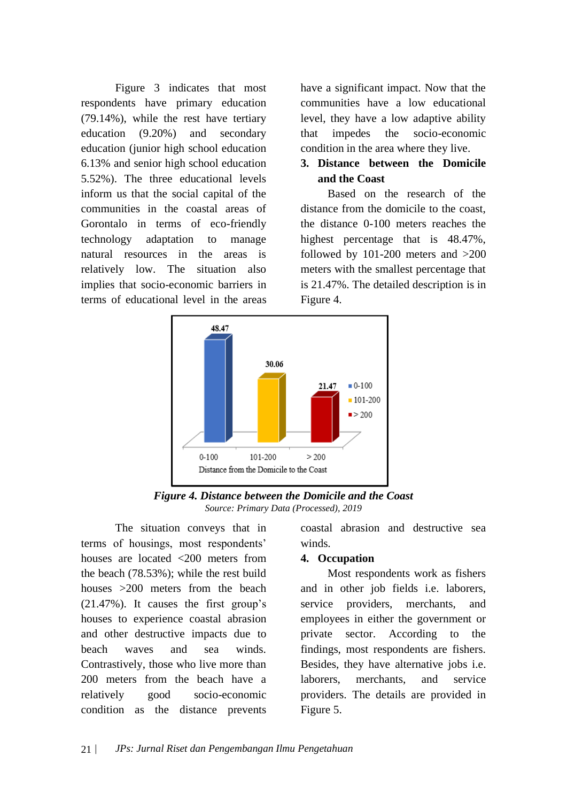Figure 3 indicates that most respondents have primary education (79.14%), while the rest have tertiary education (9.20%) and secondary education (junior high school education 6.13% and senior high school education 5.52%). The three educational levels inform us that the social capital of the communities in the coastal areas of Gorontalo in terms of eco-friendly technology adaptation to manage natural resources in the areas is relatively low. The situation also implies that socio-economic barriers in terms of educational level in the areas have a significant impact. Now that the communities have a low educational level, they have a low adaptive ability that impedes the socio-economic condition in the area where they live.

# **3. Distance between the Domicile and the Coast**

Based on the research of the distance from the domicile to the coast, the distance 0-100 meters reaches the highest percentage that is 48.47%, followed by 101-200 meters and >200 meters with the smallest percentage that is 21.47%. The detailed description is in Figure 4.



*Figure 4. Distance between the Domicile and the Coast Source: Primary Data (Processed), 2019*

The situation conveys that in terms of housings, most respondents' houses are located <200 meters from the beach (78.53%); while the rest build houses >200 meters from the beach (21.47%). It causes the first group's houses to experience coastal abrasion and other destructive impacts due to beach waves and sea winds. Contrastively, those who live more than 200 meters from the beach have a relatively good socio-economic condition as the distance prevents

coastal abrasion and destructive sea winds.

#### **4. Occupation**

Most respondents work as fishers and in other job fields i.e. laborers, service providers, merchants, and employees in either the government or private sector. According to the findings, most respondents are fishers. Besides, they have alternative jobs i.e. laborers, merchants, and service providers. The details are provided in Figure 5.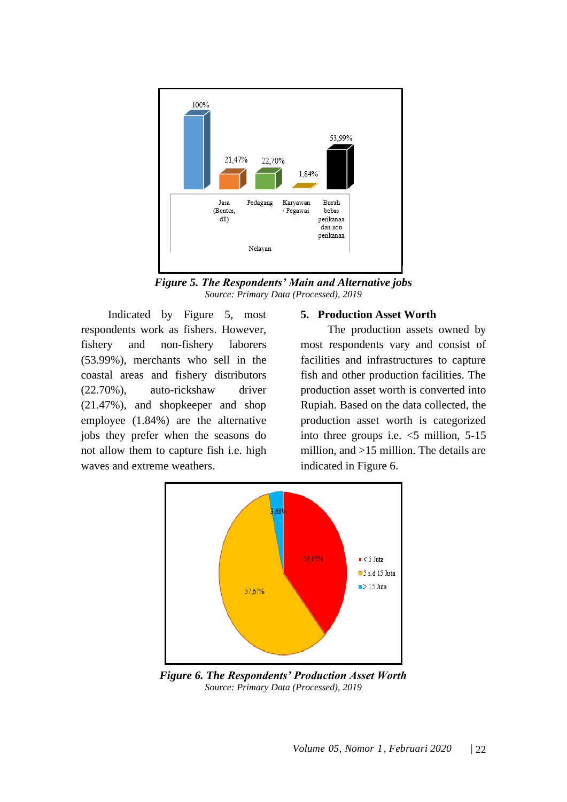

*Figure 5. The Respondents' Main and Alternative jobs Source: Primary Data (Processed), 2019*

Indicated by Figure 5, most respondents work as fishers. However, fishery and non-fishery laborers (53.99%), merchants who sell in the coastal areas and fishery distributors (22.70%), auto-rickshaw driver (21.47%), and shopkeeper and shop employee (1.84%) are the alternative jobs they prefer when the seasons do not allow them to capture fish i.e. high waves and extreme weathers.

#### **5. Production Asset Worth**

The production assets owned by most respondents vary and consist of facilities and infrastructures to capture fish and other production facilities. The production asset worth is converted into Rupiah. Based on the data collected, the production asset worth is categorized into three groups i.e.  $\leq$ 5 million, 5-15 million, and >15 million. The details are indicated in Figure 6.



*Figure 6. The Respondents' Production Asset Worth Source: Primary Data (Processed), 2019*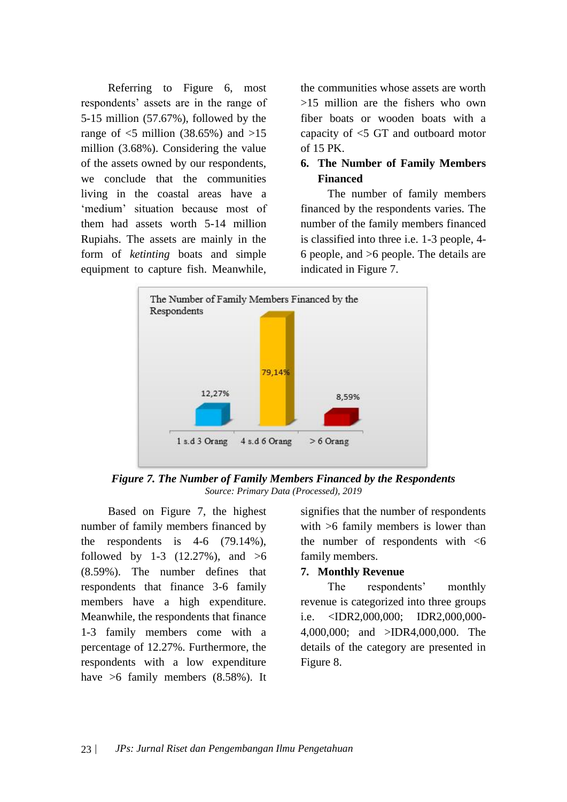Referring to Figure 6, most respondents' assets are in the range of 5-15 million (57.67%), followed by the range of  $\leq$ 5 million (38.65%) and  $>15$ million (3.68%). Considering the value of the assets owned by our respondents, we conclude that the communities living in the coastal areas have a 'medium' situation because most of them had assets worth 5-14 million Rupiahs. The assets are mainly in the form of *ketinting* boats and simple equipment to capture fish. Meanwhile,

the communities whose assets are worth >15 million are the fishers who own fiber boats or wooden boats with a capacity of <5 GT and outboard motor of 15 PK.

### **6. The Number of Family Members Financed**

The number of family members financed by the respondents varies. The number of the family members financed is classified into three i.e. 1-3 people, 4- 6 people, and >6 people. The details are indicated in Figure 7.



*Figure 7. The Number of Family Members Financed by the Respondents Source: Primary Data (Processed), 2019*

Based on Figure 7, the highest number of family members financed by the respondents is  $4-6$  (79.14%), followed by 1-3  $(12.27%)$ , and  $>6$ (8.59%). The number defines that respondents that finance 3-6 family members have a high expenditure. Meanwhile, the respondents that finance 1-3 family members come with a percentage of 12.27%. Furthermore, the respondents with a low expenditure have >6 family members (8.58%). It

signifies that the number of respondents with  $>6$  family members is lower than the number of respondents with  $<$ 6 family members.

### **7. Monthly Revenue**

The respondents' monthly revenue is categorized into three groups i.e. <IDR2,000,000; IDR2,000,000- 4,000,000; and >IDR4,000,000. The details of the category are presented in Figure 8.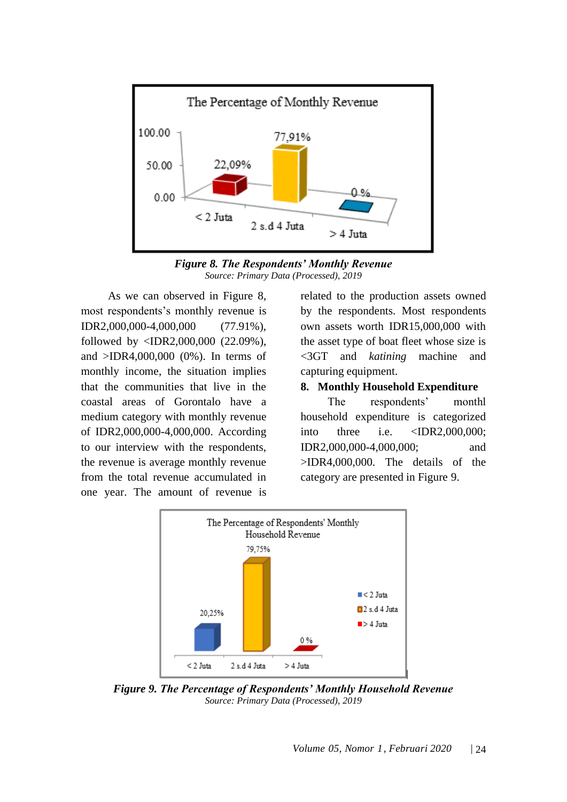

*Figure 8. The Respondents' Monthly Revenue Source: Primary Data (Processed), 2019*

As we can observed in Figure 8, most respondents's monthly revenue is IDR2,000,000-4,000,000 (77.91%), followed by <IDR2,000,000 (22.09%), and >IDR4,000,000 (0%). In terms of monthly income, the situation implies that the communities that live in the coastal areas of Gorontalo have a medium category with monthly revenue of IDR2,000,000-4,000,000. According to our interview with the respondents, the revenue is average monthly revenue from the total revenue accumulated in one year. The amount of revenue is related to the production assets owned by the respondents. Most respondents own assets worth IDR15,000,000 with the asset type of boat fleet whose size is <3GT and *katining* machine and capturing equipment.

#### **8. Monthly Household Expenditure**

The respondents' monthl household expenditure is categorized into three i.e. <IDR2,000,000; IDR2,000,000-4,000,000; and >IDR4,000,000. The details of the category are presented in Figure 9.



*Figure 9. The Percentage of Respondents' Monthly Household Revenue Source: Primary Data (Processed), 2019*